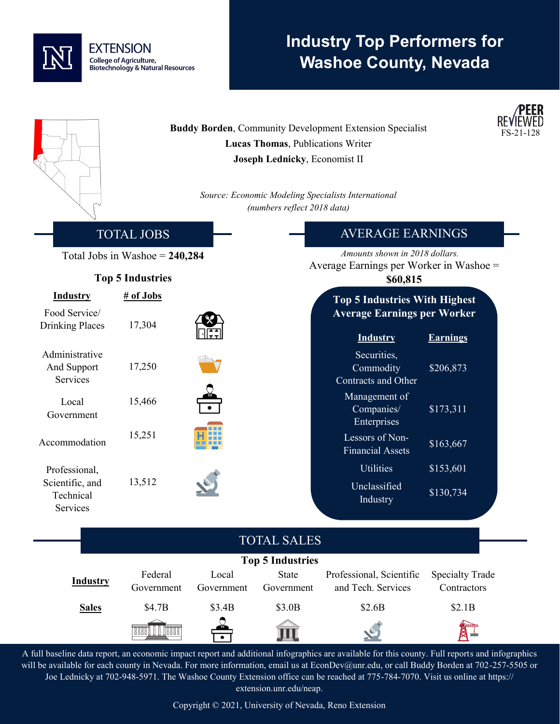## **EXTENSION** College of Agriculture, **Biotechnology & Natural Resources**

# **Industry Top Performers for Washoe County, Nevada**

|                                           |                                  |                     | Lucas Thomas, Publications Writer<br>Joseph Lednicky, Economist II<br>(numbers reflect 2018 data) | <b>Buddy Borden, Community Development Extension Specialist</b><br>Source: Economic Modeling Specialists International |                                       | <b>PEER</b><br>FS-21-128 |
|-------------------------------------------|----------------------------------|---------------------|---------------------------------------------------------------------------------------------------|------------------------------------------------------------------------------------------------------------------------|---------------------------------------|--------------------------|
|                                           | <b>TOTAL JOBS</b>                |                     |                                                                                                   | <b>AVERAGE EARNINGS</b>                                                                                                |                                       |                          |
|                                           | Total Jobs in Washoe $= 240,284$ |                     |                                                                                                   | Amounts shown in 2018 dollars.                                                                                         |                                       |                          |
|                                           | <b>Top 5 Industries</b>          |                     |                                                                                                   | Average Earnings per Worker in Washoe =<br>\$60,815                                                                    |                                       |                          |
| <b>Industry</b>                           | # of Jobs                        |                     |                                                                                                   | <b>Top 5 Industries With Highest</b>                                                                                   |                                       |                          |
| Food Service/<br><b>Drinking Places</b>   | 17,304                           |                     |                                                                                                   | <b>Average Earnings per Worker</b><br><b>Industry</b>                                                                  | <b>Earnings</b>                       |                          |
| Administrative<br>And Support<br>Services | 17,250                           |                     |                                                                                                   | Securities,<br>Commodity<br>Contracts and Other                                                                        | \$206,873                             |                          |
| Local<br>Government                       | 15,466                           |                     |                                                                                                   | Management of<br>Companies/<br>Enterprises                                                                             | \$173,311                             |                          |
| Accommodation                             | 15,251                           |                     |                                                                                                   | Lessors of Non-<br><b>Financial Assets</b>                                                                             | \$163,667                             |                          |
| Professional,                             |                                  |                     |                                                                                                   | <b>Utilities</b>                                                                                                       | \$153,601                             |                          |
| Scientific, and<br>Technical<br>Services  | 13,512                           |                     |                                                                                                   | Unclassified<br><b>Industry</b>                                                                                        | \$130,734                             |                          |
|                                           |                                  |                     | <b>TOTAL SALES</b>                                                                                |                                                                                                                        |                                       |                          |
|                                           |                                  |                     | <b>Top 5 Industries</b>                                                                           |                                                                                                                        |                                       |                          |
| <b>Industry</b>                           | Federal<br>Government            | Local<br>Government | <b>State</b><br>Government                                                                        | Professional, Scientific<br>and Tech. Services                                                                         | <b>Specialty Trade</b><br>Contractors |                          |
| <b>Sales</b>                              | \$4.7B                           | \$3.4B              | \$3.0B                                                                                            | \$2.6B                                                                                                                 | \$2.1B                                |                          |
|                                           | <b>Resear</b><br>8889            |                     |                                                                                                   |                                                                                                                        |                                       |                          |

A full baseline data report, an economic impact report and additional infographics are available for this county. Full reports and infographics will be available for each county in Nevada. For more information, email us at EconDev@unr.edu, or call Buddy Borden at 702-257-5505 or Joe Lednicky at 702-948-5971. The Washoe County Extension office can be reached at 775-784-7070. Visit us online at https:// extension.unr.edu/neap.

Copyright © 2021, University of Nevada, Reno Extension